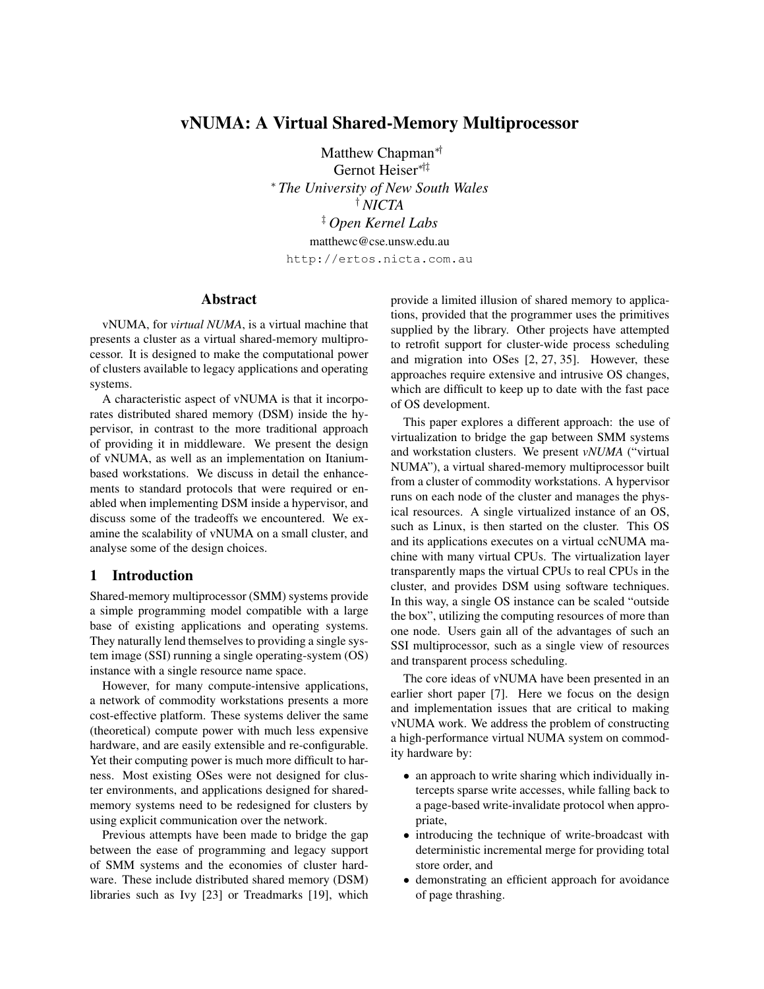# vNUMA: A Virtual Shared-Memory Multiprocessor

Matthew Chapman<sup>∗†</sup> Gernot Heiser∗†‡ <sup>∗</sup> *The University of New South Wales* † *NICTA* ‡ *Open Kernel Labs* matthewc@cse.unsw.edu.au

http://ertos.nicta.com.au

### Abstract

vNUMA, for *virtual NUMA*, is a virtual machine that presents a cluster as a virtual shared-memory multiprocessor. It is designed to make the computational power of clusters available to legacy applications and operating systems.

A characteristic aspect of vNUMA is that it incorporates distributed shared memory (DSM) inside the hypervisor, in contrast to the more traditional approach of providing it in middleware. We present the design of vNUMA, as well as an implementation on Itaniumbased workstations. We discuss in detail the enhancements to standard protocols that were required or enabled when implementing DSM inside a hypervisor, and discuss some of the tradeoffs we encountered. We examine the scalability of vNUMA on a small cluster, and analyse some of the design choices.

## 1 Introduction

Shared-memory multiprocessor (SMM) systems provide a simple programming model compatible with a large base of existing applications and operating systems. They naturally lend themselves to providing a single system image (SSI) running a single operating-system (OS) instance with a single resource name space.

However, for many compute-intensive applications, a network of commodity workstations presents a more cost-effective platform. These systems deliver the same (theoretical) compute power with much less expensive hardware, and are easily extensible and re-configurable. Yet their computing power is much more difficult to harness. Most existing OSes were not designed for cluster environments, and applications designed for sharedmemory systems need to be redesigned for clusters by using explicit communication over the network.

Previous attempts have been made to bridge the gap between the ease of programming and legacy support of SMM systems and the economies of cluster hardware. These include distributed shared memory (DSM) libraries such as Ivy [23] or Treadmarks [19], which

provide a limited illusion of shared memory to applications, provided that the programmer uses the primitives supplied by the library. Other projects have attempted to retrofit support for cluster-wide process scheduling and migration into OSes [2, 27, 35]. However, these approaches require extensive and intrusive OS changes, which are difficult to keep up to date with the fast pace of OS development.

This paper explores a different approach: the use of virtualization to bridge the gap between SMM systems and workstation clusters. We present *vNUMA* ("virtual NUMA"), a virtual shared-memory multiprocessor built from a cluster of commodity workstations. A hypervisor runs on each node of the cluster and manages the physical resources. A single virtualized instance of an OS, such as Linux, is then started on the cluster. This OS and its applications executes on a virtual ccNUMA machine with many virtual CPUs. The virtualization layer transparently maps the virtual CPUs to real CPUs in the cluster, and provides DSM using software techniques. In this way, a single OS instance can be scaled "outside the box", utilizing the computing resources of more than one node. Users gain all of the advantages of such an SSI multiprocessor, such as a single view of resources and transparent process scheduling.

The core ideas of vNUMA have been presented in an earlier short paper [7]. Here we focus on the design and implementation issues that are critical to making vNUMA work. We address the problem of constructing a high-performance virtual NUMA system on commodity hardware by:

- an approach to write sharing which individually intercepts sparse write accesses, while falling back to a page-based write-invalidate protocol when appropriate,
- introducing the technique of write-broadcast with deterministic incremental merge for providing total store order, and
- demonstrating an efficient approach for avoidance of page thrashing.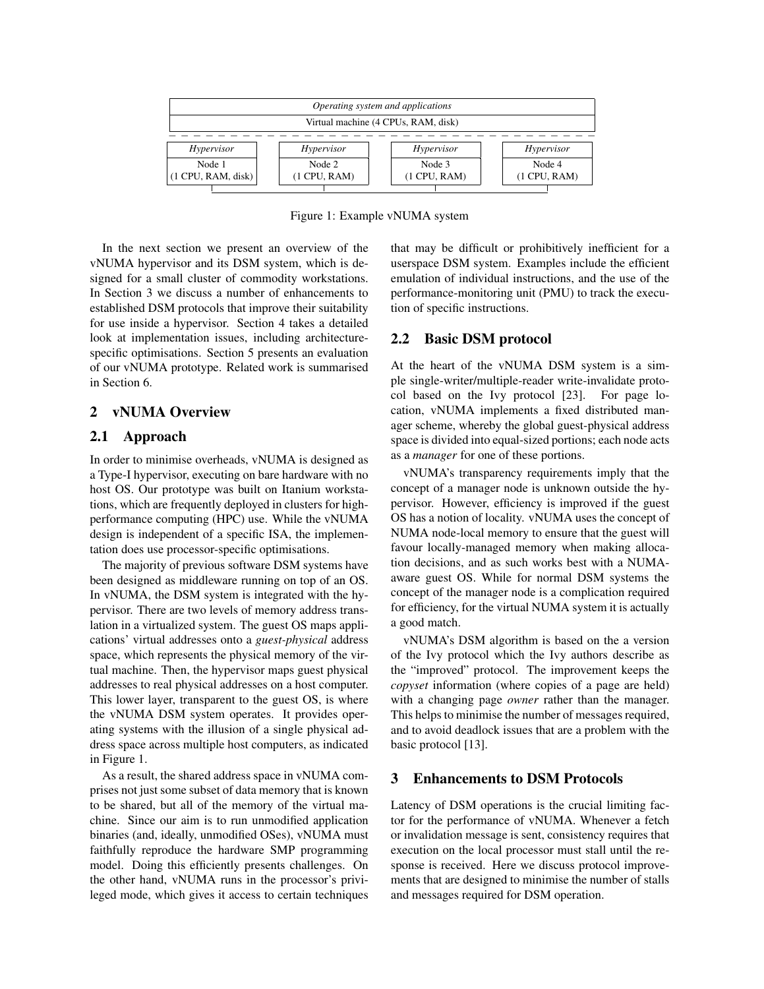

Figure 1: Example vNUMA system

In the next section we present an overview of the vNUMA hypervisor and its DSM system, which is designed for a small cluster of commodity workstations. In Section 3 we discuss a number of enhancements to established DSM protocols that improve their suitability for use inside a hypervisor. Section 4 takes a detailed look at implementation issues, including architecturespecific optimisations. Section 5 presents an evaluation of our vNUMA prototype. Related work is summarised in Section 6.

### 2 vNUMA Overview

### 2.1 Approach

In order to minimise overheads, vNUMA is designed as a Type-I hypervisor, executing on bare hardware with no host OS. Our prototype was built on Itanium workstations, which are frequently deployed in clusters for highperformance computing (HPC) use. While the vNUMA design is independent of a specific ISA, the implementation does use processor-specific optimisations.

The majority of previous software DSM systems have been designed as middleware running on top of an OS. In vNUMA, the DSM system is integrated with the hypervisor. There are two levels of memory address translation in a virtualized system. The guest OS maps applications' virtual addresses onto a *guest-physical* address space, which represents the physical memory of the virtual machine. Then, the hypervisor maps guest physical addresses to real physical addresses on a host computer. This lower layer, transparent to the guest OS, is where the vNUMA DSM system operates. It provides operating systems with the illusion of a single physical address space across multiple host computers, as indicated in Figure 1.

As a result, the shared address space in vNUMA comprises not just some subset of data memory that is known to be shared, but all of the memory of the virtual machine. Since our aim is to run unmodified application binaries (and, ideally, unmodified OSes), vNUMA must faithfully reproduce the hardware SMP programming model. Doing this efficiently presents challenges. On the other hand, vNUMA runs in the processor's privileged mode, which gives it access to certain techniques that may be difficult or prohibitively inefficient for a userspace DSM system. Examples include the efficient emulation of individual instructions, and the use of the performance-monitoring unit (PMU) to track the execution of specific instructions.

#### 2.2 Basic DSM protocol

At the heart of the vNUMA DSM system is a simple single-writer/multiple-reader write-invalidate protocol based on the Ivy protocol [23]. For page location, vNUMA implements a fixed distributed manager scheme, whereby the global guest-physical address space is divided into equal-sized portions; each node acts as a *manager* for one of these portions.

vNUMA's transparency requirements imply that the concept of a manager node is unknown outside the hypervisor. However, efficiency is improved if the guest OS has a notion of locality. vNUMA uses the concept of NUMA node-local memory to ensure that the guest will favour locally-managed memory when making allocation decisions, and as such works best with a NUMAaware guest OS. While for normal DSM systems the concept of the manager node is a complication required for efficiency, for the virtual NUMA system it is actually a good match.

vNUMA's DSM algorithm is based on the a version of the Ivy protocol which the Ivy authors describe as the "improved" protocol. The improvement keeps the *copyset* information (where copies of a page are held) with a changing page *owner* rather than the manager. This helps to minimise the number of messages required, and to avoid deadlock issues that are a problem with the basic protocol [13].

### 3 Enhancements to DSM Protocols

Latency of DSM operations is the crucial limiting factor for the performance of vNUMA. Whenever a fetch or invalidation message is sent, consistency requires that execution on the local processor must stall until the response is received. Here we discuss protocol improvements that are designed to minimise the number of stalls and messages required for DSM operation.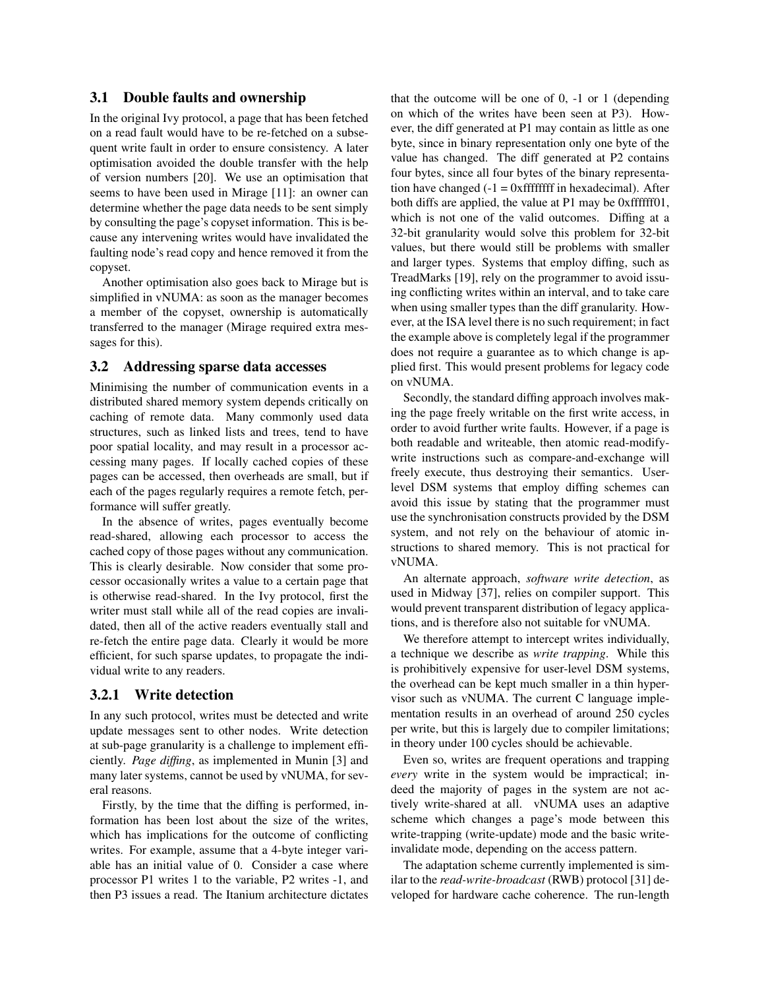### 3.1 Double faults and ownership

In the original Ivy protocol, a page that has been fetched on a read fault would have to be re-fetched on a subsequent write fault in order to ensure consistency. A later optimisation avoided the double transfer with the help of version numbers [20]. We use an optimisation that seems to have been used in Mirage [11]: an owner can determine whether the page data needs to be sent simply by consulting the page's copyset information. This is because any intervening writes would have invalidated the faulting node's read copy and hence removed it from the copyset.

Another optimisation also goes back to Mirage but is simplified in vNUMA: as soon as the manager becomes a member of the copyset, ownership is automatically transferred to the manager (Mirage required extra messages for this).

#### 3.2 Addressing sparse data accesses

Minimising the number of communication events in a distributed shared memory system depends critically on caching of remote data. Many commonly used data structures, such as linked lists and trees, tend to have poor spatial locality, and may result in a processor accessing many pages. If locally cached copies of these pages can be accessed, then overheads are small, but if each of the pages regularly requires a remote fetch, performance will suffer greatly.

In the absence of writes, pages eventually become read-shared, allowing each processor to access the cached copy of those pages without any communication. This is clearly desirable. Now consider that some processor occasionally writes a value to a certain page that is otherwise read-shared. In the Ivy protocol, first the writer must stall while all of the read copies are invalidated, then all of the active readers eventually stall and re-fetch the entire page data. Clearly it would be more efficient, for such sparse updates, to propagate the individual write to any readers.

#### 3.2.1 Write detection

In any such protocol, writes must be detected and write update messages sent to other nodes. Write detection at sub-page granularity is a challenge to implement efficiently. *Page diffing*, as implemented in Munin [3] and many later systems, cannot be used by vNUMA, for several reasons.

Firstly, by the time that the diffing is performed, information has been lost about the size of the writes, which has implications for the outcome of conflicting writes. For example, assume that a 4-byte integer variable has an initial value of 0. Consider a case where processor P1 writes 1 to the variable, P2 writes -1, and then P3 issues a read. The Itanium architecture dictates that the outcome will be one of 0, -1 or 1 (depending on which of the writes have been seen at P3). However, the diff generated at P1 may contain as little as one byte, since in binary representation only one byte of the value has changed. The diff generated at P2 contains four bytes, since all four bytes of the binary representation have changed  $(-1 = 0x$  fffffffff in hexadecimal). After both diffs are applied, the value at P1 may be 0xffffff01, which is not one of the valid outcomes. Diffing at a 32-bit granularity would solve this problem for 32-bit values, but there would still be problems with smaller and larger types. Systems that employ diffing, such as TreadMarks [19], rely on the programmer to avoid issuing conflicting writes within an interval, and to take care when using smaller types than the diff granularity. However, at the ISA level there is no such requirement; in fact the example above is completely legal if the programmer does not require a guarantee as to which change is applied first. This would present problems for legacy code on vNUMA.

Secondly, the standard diffing approach involves making the page freely writable on the first write access, in order to avoid further write faults. However, if a page is both readable and writeable, then atomic read-modifywrite instructions such as compare-and-exchange will freely execute, thus destroying their semantics. Userlevel DSM systems that employ diffing schemes can avoid this issue by stating that the programmer must use the synchronisation constructs provided by the DSM system, and not rely on the behaviour of atomic instructions to shared memory. This is not practical for vNUMA.

An alternate approach, *software write detection*, as used in Midway [37], relies on compiler support. This would prevent transparent distribution of legacy applications, and is therefore also not suitable for vNUMA.

We therefore attempt to intercept writes individually, a technique we describe as *write trapping*. While this is prohibitively expensive for user-level DSM systems, the overhead can be kept much smaller in a thin hypervisor such as vNUMA. The current C language implementation results in an overhead of around 250 cycles per write, but this is largely due to compiler limitations; in theory under 100 cycles should be achievable.

Even so, writes are frequent operations and trapping *every* write in the system would be impractical; indeed the majority of pages in the system are not actively write-shared at all. vNUMA uses an adaptive scheme which changes a page's mode between this write-trapping (write-update) mode and the basic writeinvalidate mode, depending on the access pattern.

The adaptation scheme currently implemented is similar to the *read-write-broadcast* (RWB) protocol [31] developed for hardware cache coherence. The run-length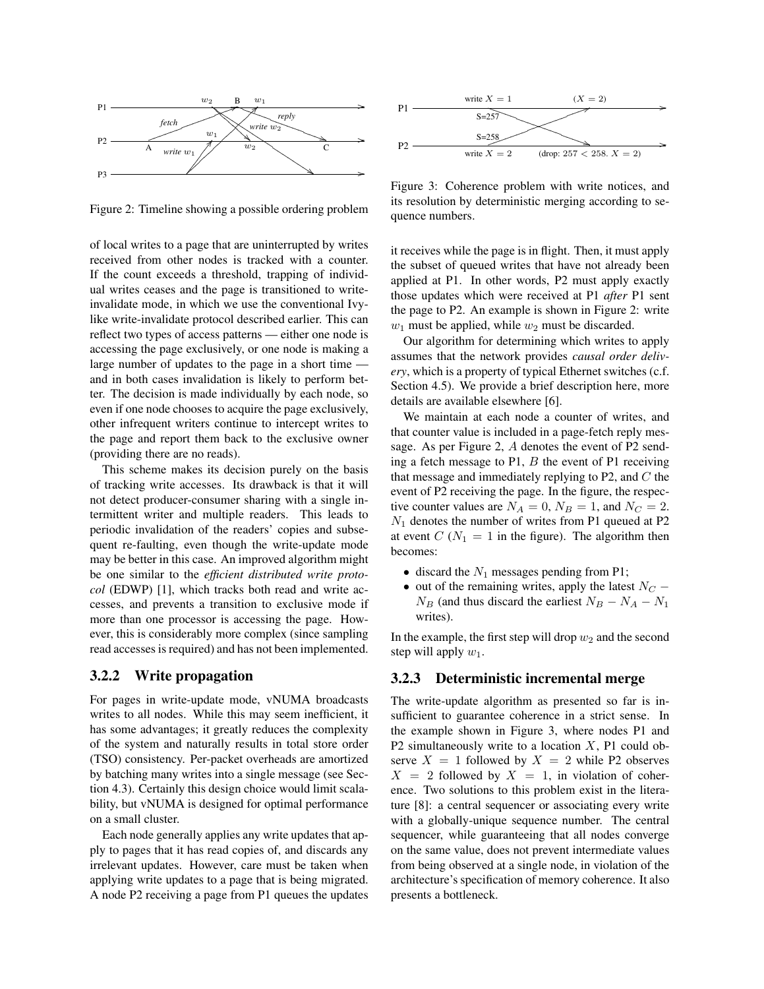

Figure 2: Timeline showing a possible ordering problem

of local writes to a page that are uninterrupted by writes received from other nodes is tracked with a counter. If the count exceeds a threshold, trapping of individual writes ceases and the page is transitioned to writeinvalidate mode, in which we use the conventional Ivylike write-invalidate protocol described earlier. This can reflect two types of access patterns — either one node is accessing the page exclusively, or one node is making a large number of updates to the page in a short time and in both cases invalidation is likely to perform better. The decision is made individually by each node, so even if one node chooses to acquire the page exclusively, other infrequent writers continue to intercept writes to the page and report them back to the exclusive owner (providing there are no reads).

This scheme makes its decision purely on the basis of tracking write accesses. Its drawback is that it will not detect producer-consumer sharing with a single intermittent writer and multiple readers. This leads to periodic invalidation of the readers' copies and subsequent re-faulting, even though the write-update mode may be better in this case. An improved algorithm might be one similar to the *efficient distributed write protocol* (EDWP) [1], which tracks both read and write accesses, and prevents a transition to exclusive mode if more than one processor is accessing the page. However, this is considerably more complex (since sampling read accesses is required) and has not been implemented.

#### 3.2.2 Write propagation

For pages in write-update mode, vNUMA broadcasts writes to all nodes. While this may seem inefficient, it has some advantages; it greatly reduces the complexity of the system and naturally results in total store order (TSO) consistency. Per-packet overheads are amortized by batching many writes into a single message (see Section 4.3). Certainly this design choice would limit scalability, but vNUMA is designed for optimal performance on a small cluster.

Each node generally applies any write updates that apply to pages that it has read copies of, and discards any irrelevant updates. However, care must be taken when applying write updates to a page that is being migrated. A node P2 receiving a page from P1 queues the updates



Figure 3: Coherence problem with write notices, and its resolution by deterministic merging according to sequence numbers.

it receives while the page is in flight. Then, it must apply the subset of queued writes that have not already been applied at P1. In other words, P2 must apply exactly those updates which were received at P1 *after* P1 sent the page to P2. An example is shown in Figure 2: write  $w_1$  must be applied, while  $w_2$  must be discarded.

Our algorithm for determining which writes to apply assumes that the network provides *causal order delivery*, which is a property of typical Ethernet switches (c.f. Section 4.5). We provide a brief description here, more details are available elsewhere [6].

We maintain at each node a counter of writes, and that counter value is included in a page-fetch reply message. As per Figure 2, A denotes the event of P2 sending a fetch message to P1,  $B$  the event of P1 receiving that message and immediately replying to P2, and  $C$  the event of P2 receiving the page. In the figure, the respective counter values are  $N_A = 0$ ,  $N_B = 1$ , and  $N_C = 2$ .  $N_1$  denotes the number of writes from P1 queued at P2 at event  $C (N_1 = 1$  in the figure). The algorithm then becomes:

- discard the  $N_1$  messages pending from P1;
- out of the remaining writes, apply the latest  $N_C$   $N_B$  (and thus discard the earliest  $N_B - N_A - N_1$ ) writes).

In the example, the first step will drop  $w_2$  and the second step will apply  $w_1$ .

#### 3.2.3 Deterministic incremental merge

The write-update algorithm as presented so far is insufficient to guarantee coherence in a strict sense. In the example shown in Figure 3, where nodes P1 and P2 simultaneously write to a location  $X$ , P1 could observe  $X = 1$  followed by  $X = 2$  while P2 observes  $X = 2$  followed by  $X = 1$ , in violation of coherence. Two solutions to this problem exist in the literature [8]: a central sequencer or associating every write with a globally-unique sequence number. The central sequencer, while guaranteeing that all nodes converge on the same value, does not prevent intermediate values from being observed at a single node, in violation of the architecture's specification of memory coherence. It also presents a bottleneck.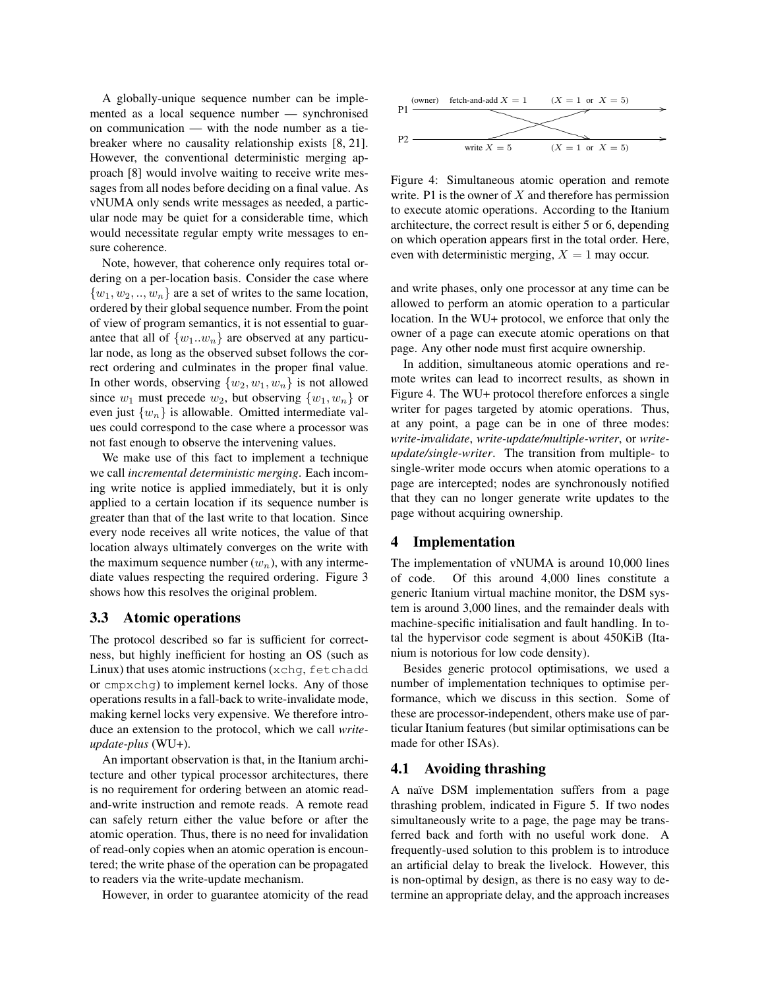A globally-unique sequence number can be implemented as a local sequence number — synchronised on communication — with the node number as a tiebreaker where no causality relationship exists [8, 21]. However, the conventional deterministic merging approach [8] would involve waiting to receive write messages from all nodes before deciding on a final value. As vNUMA only sends write messages as needed, a particular node may be quiet for a considerable time, which would necessitate regular empty write messages to ensure coherence.

Note, however, that coherence only requires total ordering on a per-location basis. Consider the case where  $\{w_1, w_2, ..., w_n\}$  are a set of writes to the same location, ordered by their global sequence number. From the point of view of program semantics, it is not essential to guarantee that all of  $\{w_1..w_n\}$  are observed at any particular node, as long as the observed subset follows the correct ordering and culminates in the proper final value. In other words, observing  $\{w_2, w_1, w_n\}$  is not allowed since  $w_1$  must precede  $w_2$ , but observing  $\{w_1, w_n\}$  or even just  $\{w_n\}$  is allowable. Omitted intermediate values could correspond to the case where a processor was not fast enough to observe the intervening values.

We make use of this fact to implement a technique we call *incremental deterministic merging*. Each incoming write notice is applied immediately, but it is only applied to a certain location if its sequence number is greater than that of the last write to that location. Since every node receives all write notices, the value of that location always ultimately converges on the write with the maximum sequence number  $(w_n)$ , with any intermediate values respecting the required ordering. Figure 3 shows how this resolves the original problem.

#### 3.3 Atomic operations

The protocol described so far is sufficient for correctness, but highly inefficient for hosting an OS (such as Linux) that uses atomic instructions (xchg, fetchadd or cmpxchg) to implement kernel locks. Any of those operations results in a fall-back to write-invalidate mode, making kernel locks very expensive. We therefore introduce an extension to the protocol, which we call *writeupdate-plus* (WU+).

An important observation is that, in the Itanium architecture and other typical processor architectures, there is no requirement for ordering between an atomic readand-write instruction and remote reads. A remote read can safely return either the value before or after the atomic operation. Thus, there is no need for invalidation of read-only copies when an atomic operation is encountered; the write phase of the operation can be propagated to readers via the write-update mechanism.

However, in order to guarantee atomicity of the read



Figure 4: Simultaneous atomic operation and remote write. P1 is the owner of  $X$  and therefore has permission to execute atomic operations. According to the Itanium architecture, the correct result is either 5 or 6, depending on which operation appears first in the total order. Here, even with deterministic merging,  $X = 1$  may occur.

and write phases, only one processor at any time can be allowed to perform an atomic operation to a particular location. In the WU+ protocol, we enforce that only the owner of a page can execute atomic operations on that page. Any other node must first acquire ownership.

In addition, simultaneous atomic operations and remote writes can lead to incorrect results, as shown in Figure 4. The WU+ protocol therefore enforces a single writer for pages targeted by atomic operations. Thus, at any point, a page can be in one of three modes: *write-invalidate*, *write-update/multiple-writer*, or *writeupdate/single-writer*. The transition from multiple- to single-writer mode occurs when atomic operations to a page are intercepted; nodes are synchronously notified that they can no longer generate write updates to the page without acquiring ownership.

#### 4 Implementation

The implementation of vNUMA is around 10,000 lines of code. Of this around 4,000 lines constitute a generic Itanium virtual machine monitor, the DSM system is around 3,000 lines, and the remainder deals with machine-specific initialisation and fault handling. In total the hypervisor code segment is about 450KiB (Itanium is notorious for low code density).

Besides generic protocol optimisations, we used a number of implementation techniques to optimise performance, which we discuss in this section. Some of these are processor-independent, others make use of particular Itanium features (but similar optimisations can be made for other ISAs).

### 4.1 Avoiding thrashing

A naïve DSM implementation suffers from a page thrashing problem, indicated in Figure 5. If two nodes simultaneously write to a page, the page may be transferred back and forth with no useful work done. A frequently-used solution to this problem is to introduce an artificial delay to break the livelock. However, this is non-optimal by design, as there is no easy way to determine an appropriate delay, and the approach increases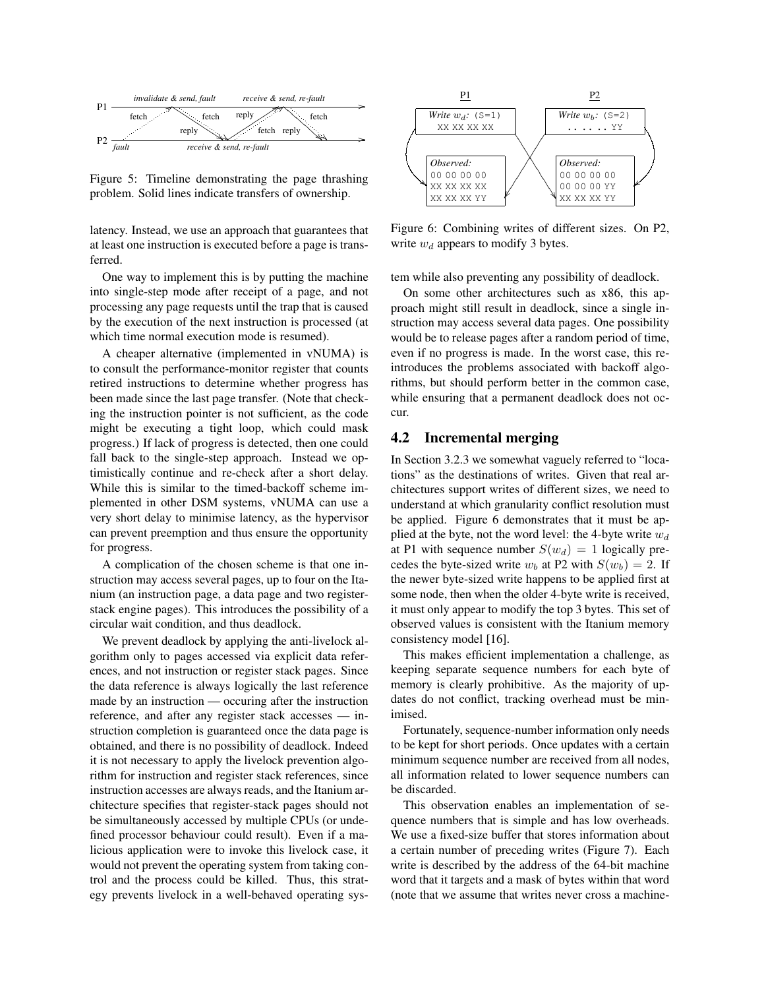

Figure 5: Timeline demonstrating the page thrashing problem. Solid lines indicate transfers of ownership.

latency. Instead, we use an approach that guarantees that at least one instruction is executed before a page is transferred.

One way to implement this is by putting the machine into single-step mode after receipt of a page, and not processing any page requests until the trap that is caused by the execution of the next instruction is processed (at which time normal execution mode is resumed).

A cheaper alternative (implemented in vNUMA) is to consult the performance-monitor register that counts retired instructions to determine whether progress has been made since the last page transfer. (Note that checking the instruction pointer is not sufficient, as the code might be executing a tight loop, which could mask progress.) If lack of progress is detected, then one could fall back to the single-step approach. Instead we optimistically continue and re-check after a short delay. While this is similar to the timed-backoff scheme implemented in other DSM systems, vNUMA can use a very short delay to minimise latency, as the hypervisor can prevent preemption and thus ensure the opportunity for progress.

A complication of the chosen scheme is that one instruction may access several pages, up to four on the Itanium (an instruction page, a data page and two registerstack engine pages). This introduces the possibility of a circular wait condition, and thus deadlock.

We prevent deadlock by applying the anti-livelock algorithm only to pages accessed via explicit data references, and not instruction or register stack pages. Since the data reference is always logically the last reference made by an instruction — occuring after the instruction reference, and after any register stack accesses — instruction completion is guaranteed once the data page is obtained, and there is no possibility of deadlock. Indeed it is not necessary to apply the livelock prevention algorithm for instruction and register stack references, since instruction accesses are always reads, and the Itanium architecture specifies that register-stack pages should not be simultaneously accessed by multiple CPUs (or undefined processor behaviour could result). Even if a malicious application were to invoke this livelock case, it would not prevent the operating system from taking control and the process could be killed. Thus, this strategy prevents livelock in a well-behaved operating sys-



Figure 6: Combining writes of different sizes. On P2, write  $w_d$  appears to modify 3 bytes.

tem while also preventing any possibility of deadlock.

On some other architectures such as x86, this approach might still result in deadlock, since a single instruction may access several data pages. One possibility would be to release pages after a random period of time, even if no progress is made. In the worst case, this reintroduces the problems associated with backoff algorithms, but should perform better in the common case, while ensuring that a permanent deadlock does not occur.

#### 4.2 Incremental merging

In Section 3.2.3 we somewhat vaguely referred to "locations" as the destinations of writes. Given that real architectures support writes of different sizes, we need to understand at which granularity conflict resolution must be applied. Figure 6 demonstrates that it must be applied at the byte, not the word level: the 4-byte write  $w_d$ at P1 with sequence number  $S(w_d) = 1$  logically precedes the byte-sized write  $w_b$  at P2 with  $S(w_b) = 2$ . If the newer byte-sized write happens to be applied first at some node, then when the older 4-byte write is received, it must only appear to modify the top 3 bytes. This set of observed values is consistent with the Itanium memory consistency model [16].

This makes efficient implementation a challenge, as keeping separate sequence numbers for each byte of memory is clearly prohibitive. As the majority of updates do not conflict, tracking overhead must be minimised.

Fortunately, sequence-number information only needs to be kept for short periods. Once updates with a certain minimum sequence number are received from all nodes, all information related to lower sequence numbers can be discarded.

This observation enables an implementation of sequence numbers that is simple and has low overheads. We use a fixed-size buffer that stores information about a certain number of preceding writes (Figure 7). Each write is described by the address of the 64-bit machine word that it targets and a mask of bytes within that word (note that we assume that writes never cross a machine-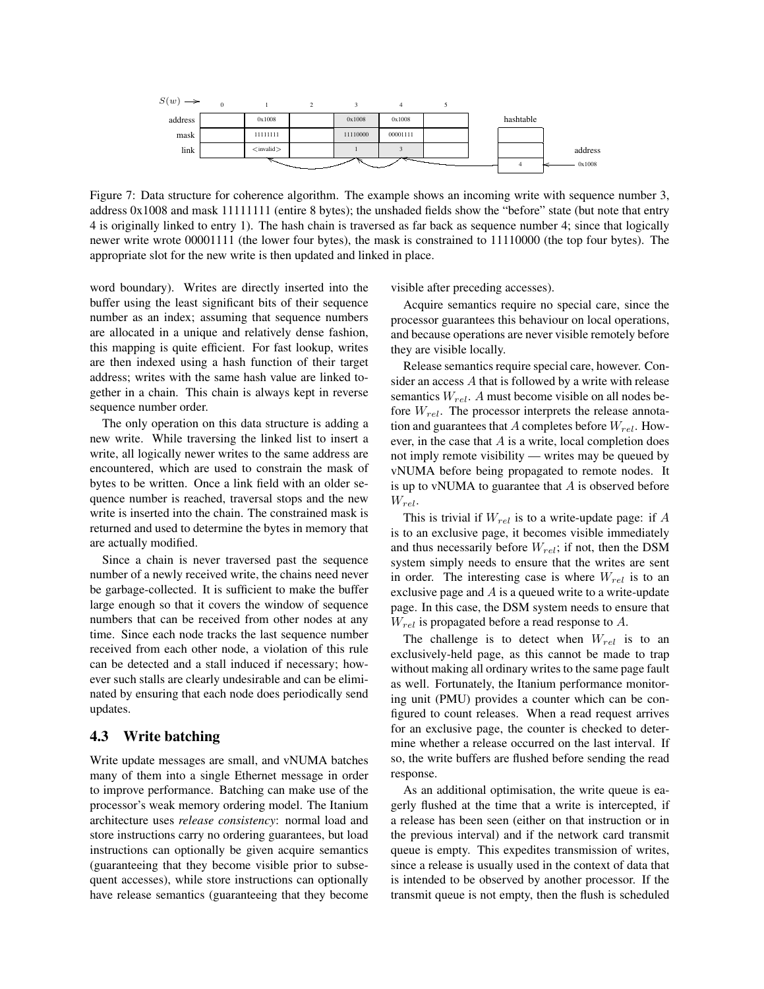

Figure 7: Data structure for coherence algorithm. The example shows an incoming write with sequence number 3, address 0x1008 and mask 11111111 (entire 8 bytes); the unshaded fields show the "before" state (but note that entry 4 is originally linked to entry 1). The hash chain is traversed as far back as sequence number 4; since that logically newer write wrote 00001111 (the lower four bytes), the mask is constrained to 11110000 (the top four bytes). The appropriate slot for the new write is then updated and linked in place.

word boundary). Writes are directly inserted into the buffer using the least significant bits of their sequence number as an index; assuming that sequence numbers are allocated in a unique and relatively dense fashion, this mapping is quite efficient. For fast lookup, writes are then indexed using a hash function of their target address; writes with the same hash value are linked together in a chain. This chain is always kept in reverse sequence number order.

The only operation on this data structure is adding a new write. While traversing the linked list to insert a write, all logically newer writes to the same address are encountered, which are used to constrain the mask of bytes to be written. Once a link field with an older sequence number is reached, traversal stops and the new write is inserted into the chain. The constrained mask is returned and used to determine the bytes in memory that are actually modified.

Since a chain is never traversed past the sequence number of a newly received write, the chains need never be garbage-collected. It is sufficient to make the buffer large enough so that it covers the window of sequence numbers that can be received from other nodes at any time. Since each node tracks the last sequence number received from each other node, a violation of this rule can be detected and a stall induced if necessary; however such stalls are clearly undesirable and can be eliminated by ensuring that each node does periodically send updates.

### 4.3 Write batching

Write update messages are small, and vNUMA batches many of them into a single Ethernet message in order to improve performance. Batching can make use of the processor's weak memory ordering model. The Itanium architecture uses *release consistency*: normal load and store instructions carry no ordering guarantees, but load instructions can optionally be given acquire semantics (guaranteeing that they become visible prior to subsequent accesses), while store instructions can optionally have release semantics (guaranteeing that they become visible after preceding accesses).

Acquire semantics require no special care, since the processor guarantees this behaviour on local operations, and because operations are never visible remotely before they are visible locally.

Release semantics require special care, however. Consider an access A that is followed by a write with release semantics  $W_{rel}$ . A must become visible on all nodes before  $W_{rel}$ . The processor interprets the release annotation and guarantees that A completes before  $W_{rel}$ . However, in the case that  $A$  is a write, local completion does not imply remote visibility — writes may be queued by vNUMA before being propagated to remote nodes. It is up to vNUMA to guarantee that  $A$  is observed before  $W_{rel}$ .

This is trivial if  $W_{rel}$  is to a write-update page: if A is to an exclusive page, it becomes visible immediately and thus necessarily before  $W_{rel}$ ; if not, then the DSM system simply needs to ensure that the writes are sent in order. The interesting case is where  $W_{rel}$  is to an exclusive page and A is a queued write to a write-update page. In this case, the DSM system needs to ensure that  $W_{rel}$  is propagated before a read response to A.

The challenge is to detect when  $W_{rel}$  is to an exclusively-held page, as this cannot be made to trap without making all ordinary writes to the same page fault as well. Fortunately, the Itanium performance monitoring unit (PMU) provides a counter which can be configured to count releases. When a read request arrives for an exclusive page, the counter is checked to determine whether a release occurred on the last interval. If so, the write buffers are flushed before sending the read response.

As an additional optimisation, the write queue is eagerly flushed at the time that a write is intercepted, if a release has been seen (either on that instruction or in the previous interval) and if the network card transmit queue is empty. This expedites transmission of writes, since a release is usually used in the context of data that is intended to be observed by another processor. If the transmit queue is not empty, then the flush is scheduled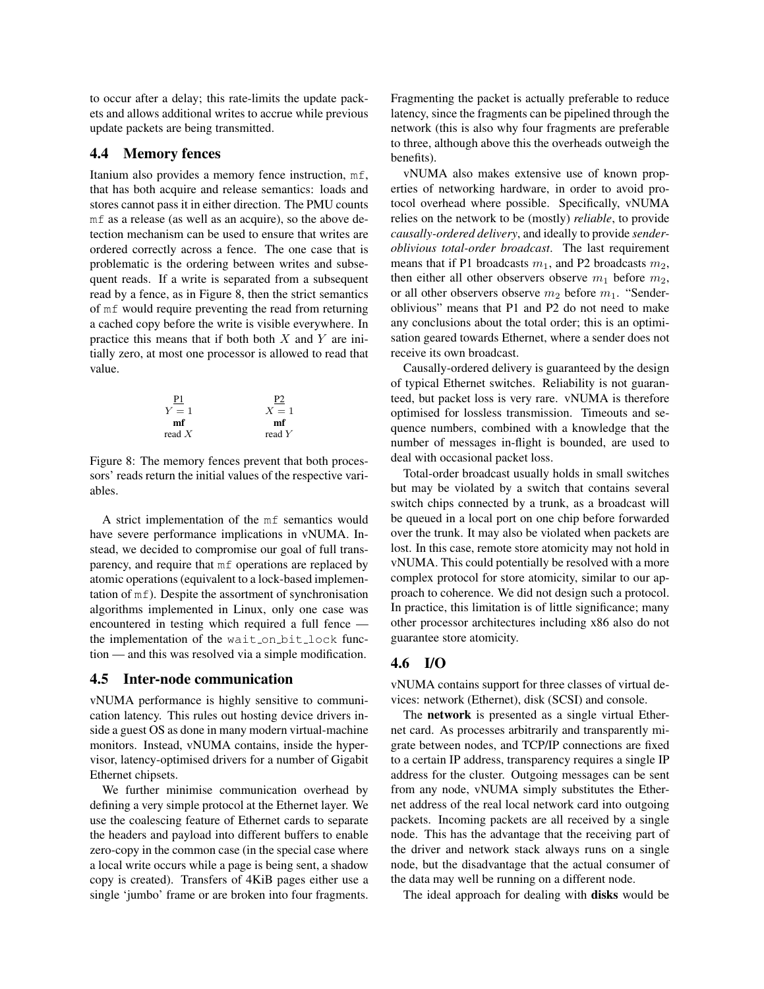to occur after a delay; this rate-limits the update packets and allows additional writes to accrue while previous update packets are being transmitted.

### 4.4 Memory fences

Itanium also provides a memory fence instruction, mf, that has both acquire and release semantics: loads and stores cannot pass it in either direction. The PMU counts mf as a release (as well as an acquire), so the above detection mechanism can be used to ensure that writes are ordered correctly across a fence. The one case that is problematic is the ordering between writes and subsequent reads. If a write is separated from a subsequent read by a fence, as in Figure 8, then the strict semantics of mf would require preventing the read from returning a cached copy before the write is visible everywhere. In practice this means that if both both  $X$  and  $Y$  are initially zero, at most one processor is allowed to read that value.



Figure 8: The memory fences prevent that both processors' reads return the initial values of the respective variables.

A strict implementation of the mf semantics would have severe performance implications in vNUMA. Instead, we decided to compromise our goal of full transparency, and require that mf operations are replaced by atomic operations (equivalent to a lock-based implementation of mf). Despite the assortment of synchronisation algorithms implemented in Linux, only one case was encountered in testing which required a full fence the implementation of the wait on bit lock function — and this was resolved via a simple modification.

#### 4.5 Inter-node communication

vNUMA performance is highly sensitive to communication latency. This rules out hosting device drivers inside a guest OS as done in many modern virtual-machine monitors. Instead, vNUMA contains, inside the hypervisor, latency-optimised drivers for a number of Gigabit Ethernet chipsets.

We further minimise communication overhead by defining a very simple protocol at the Ethernet layer. We use the coalescing feature of Ethernet cards to separate the headers and payload into different buffers to enable zero-copy in the common case (in the special case where a local write occurs while a page is being sent, a shadow copy is created). Transfers of 4KiB pages either use a single 'jumbo' frame or are broken into four fragments.

Fragmenting the packet is actually preferable to reduce latency, since the fragments can be pipelined through the network (this is also why four fragments are preferable to three, although above this the overheads outweigh the benefits).

vNUMA also makes extensive use of known properties of networking hardware, in order to avoid protocol overhead where possible. Specifically, vNUMA relies on the network to be (mostly) *reliable*, to provide *causally-ordered delivery*, and ideally to provide *senderoblivious total-order broadcast*. The last requirement means that if P1 broadcasts  $m_1$ , and P2 broadcasts  $m_2$ , then either all other observers observe  $m_1$  before  $m_2$ , or all other observers observe  $m_2$  before  $m_1$ . "Senderoblivious" means that P1 and P2 do not need to make any conclusions about the total order; this is an optimisation geared towards Ethernet, where a sender does not receive its own broadcast.

Causally-ordered delivery is guaranteed by the design of typical Ethernet switches. Reliability is not guaranteed, but packet loss is very rare. vNUMA is therefore optimised for lossless transmission. Timeouts and sequence numbers, combined with a knowledge that the number of messages in-flight is bounded, are used to deal with occasional packet loss.

Total-order broadcast usually holds in small switches but may be violated by a switch that contains several switch chips connected by a trunk, as a broadcast will be queued in a local port on one chip before forwarded over the trunk. It may also be violated when packets are lost. In this case, remote store atomicity may not hold in vNUMA. This could potentially be resolved with a more complex protocol for store atomicity, similar to our approach to coherence. We did not design such a protocol. In practice, this limitation is of little significance; many other processor architectures including x86 also do not guarantee store atomicity.

#### 4.6 I/O

vNUMA contains support for three classes of virtual devices: network (Ethernet), disk (SCSI) and console.

The network is presented as a single virtual Ethernet card. As processes arbitrarily and transparently migrate between nodes, and TCP/IP connections are fixed to a certain IP address, transparency requires a single IP address for the cluster. Outgoing messages can be sent from any node, vNUMA simply substitutes the Ethernet address of the real local network card into outgoing packets. Incoming packets are all received by a single node. This has the advantage that the receiving part of the driver and network stack always runs on a single node, but the disadvantage that the actual consumer of the data may well be running on a different node.

The ideal approach for dealing with **disks** would be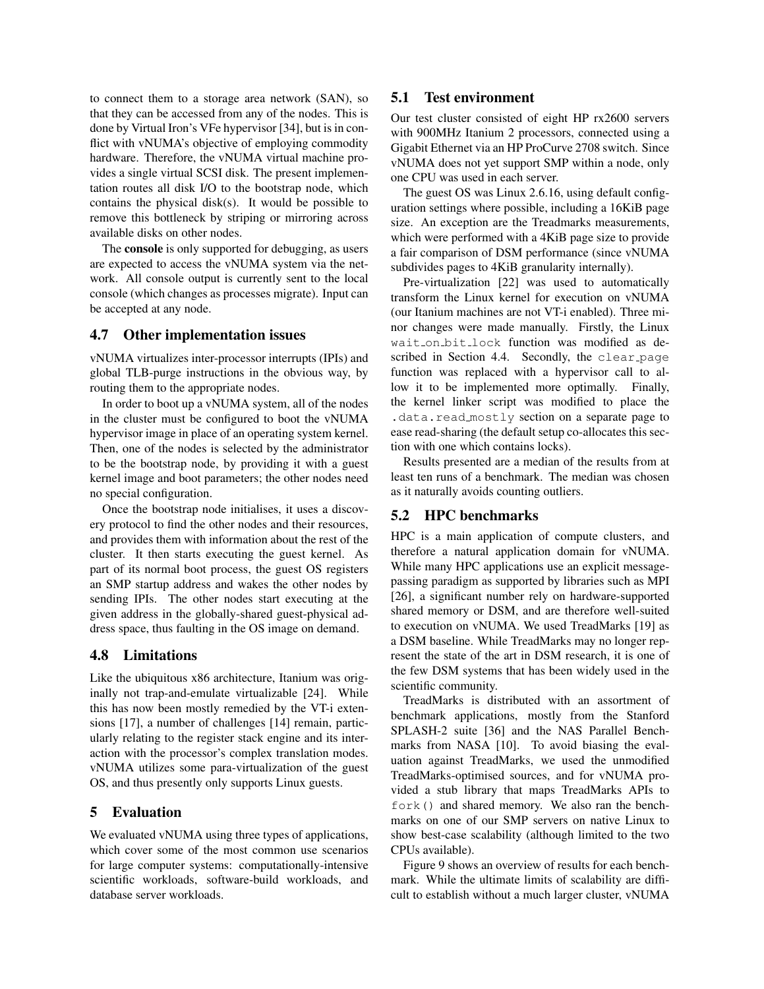to connect them to a storage area network (SAN), so that they can be accessed from any of the nodes. This is done by Virtual Iron's VFe hypervisor [34], but is in conflict with vNUMA's objective of employing commodity hardware. Therefore, the vNUMA virtual machine provides a single virtual SCSI disk. The present implementation routes all disk I/O to the bootstrap node, which contains the physical disk(s). It would be possible to remove this bottleneck by striping or mirroring across available disks on other nodes.

The console is only supported for debugging, as users are expected to access the vNUMA system via the network. All console output is currently sent to the local console (which changes as processes migrate). Input can be accepted at any node.

#### 4.7 Other implementation issues

vNUMA virtualizes inter-processor interrupts (IPIs) and global TLB-purge instructions in the obvious way, by routing them to the appropriate nodes.

In order to boot up a vNUMA system, all of the nodes in the cluster must be configured to boot the vNUMA hypervisor image in place of an operating system kernel. Then, one of the nodes is selected by the administrator to be the bootstrap node, by providing it with a guest kernel image and boot parameters; the other nodes need no special configuration.

Once the bootstrap node initialises, it uses a discovery protocol to find the other nodes and their resources, and provides them with information about the rest of the cluster. It then starts executing the guest kernel. As part of its normal boot process, the guest OS registers an SMP startup address and wakes the other nodes by sending IPIs. The other nodes start executing at the given address in the globally-shared guest-physical address space, thus faulting in the OS image on demand.

### 4.8 Limitations

Like the ubiquitous x86 architecture, Itanium was originally not trap-and-emulate virtualizable [24]. While this has now been mostly remedied by the VT-i extensions [17], a number of challenges [14] remain, particularly relating to the register stack engine and its interaction with the processor's complex translation modes. vNUMA utilizes some para-virtualization of the guest OS, and thus presently only supports Linux guests.

### 5 Evaluation

We evaluated vNUMA using three types of applications, which cover some of the most common use scenarios for large computer systems: computationally-intensive scientific workloads, software-build workloads, and database server workloads.

### 5.1 Test environment

Our test cluster consisted of eight HP rx2600 servers with 900MHz Itanium 2 processors, connected using a Gigabit Ethernet via an HP ProCurve 2708 switch. Since vNUMA does not yet support SMP within a node, only one CPU was used in each server.

The guest OS was Linux 2.6.16, using default configuration settings where possible, including a 16KiB page size. An exception are the Treadmarks measurements, which were performed with a 4KiB page size to provide a fair comparison of DSM performance (since vNUMA subdivides pages to 4KiB granularity internally).

Pre-virtualization [22] was used to automatically transform the Linux kernel for execution on vNUMA (our Itanium machines are not VT-i enabled). Three minor changes were made manually. Firstly, the Linux wait on bit lock function was modified as described in Section 4.4. Secondly, the clear page function was replaced with a hypervisor call to allow it to be implemented more optimally. Finally, the kernel linker script was modified to place the .data.read mostly section on a separate page to ease read-sharing (the default setup co-allocates this section with one which contains locks).

Results presented are a median of the results from at least ten runs of a benchmark. The median was chosen as it naturally avoids counting outliers.

### 5.2 HPC benchmarks

HPC is a main application of compute clusters, and therefore a natural application domain for vNUMA. While many HPC applications use an explicit messagepassing paradigm as supported by libraries such as MPI [26], a significant number rely on hardware-supported shared memory or DSM, and are therefore well-suited to execution on vNUMA. We used TreadMarks [19] as a DSM baseline. While TreadMarks may no longer represent the state of the art in DSM research, it is one of the few DSM systems that has been widely used in the scientific community.

TreadMarks is distributed with an assortment of benchmark applications, mostly from the Stanford SPLASH-2 suite [36] and the NAS Parallel Benchmarks from NASA [10]. To avoid biasing the evaluation against TreadMarks, we used the unmodified TreadMarks-optimised sources, and for vNUMA provided a stub library that maps TreadMarks APIs to fork() and shared memory. We also ran the benchmarks on one of our SMP servers on native Linux to show best-case scalability (although limited to the two CPUs available).

Figure 9 shows an overview of results for each benchmark. While the ultimate limits of scalability are difficult to establish without a much larger cluster, vNUMA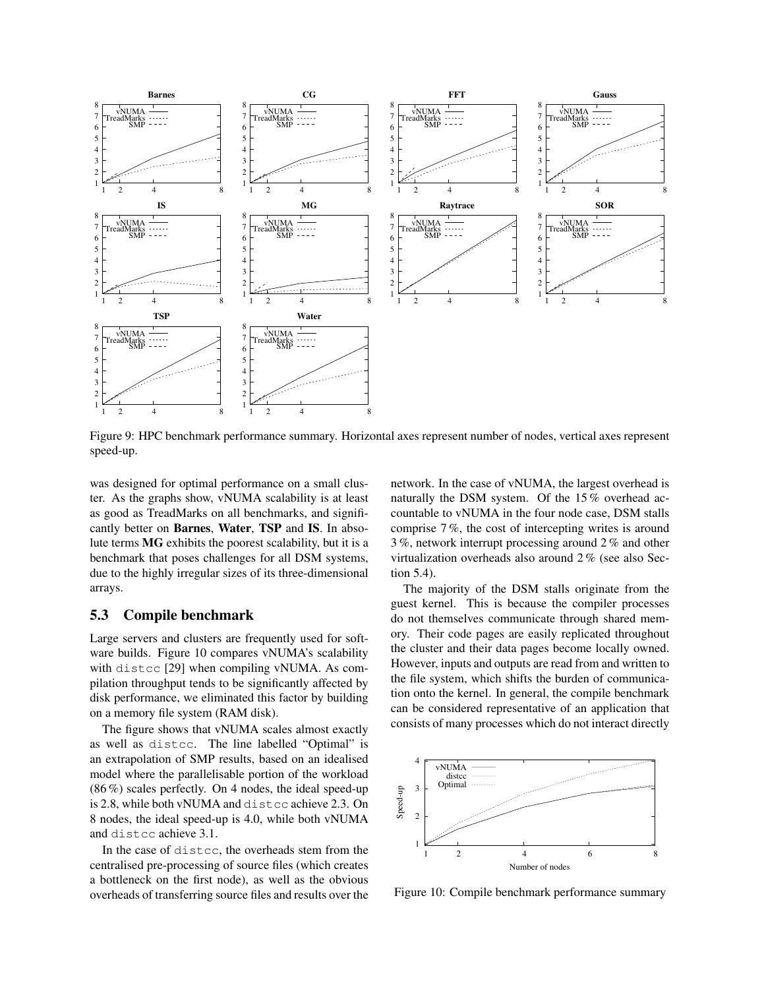

Figure 9: HPC benchmark performance summary. Horizontal axes represent number of nodes, vertical axes represent speed-up.

was designed for optimal performance on a small cluster. As the graphs show, vNUMA scalability is at least as good as TreadMarks on all benchmarks, and significantly better on Barnes, Water, TSP and IS. In absolute terms MG exhibits the poorest scalability, but it is a benchmark that poses challenges for all DSM systems, due to the highly irregular sizes of its three-dimensional arrays.

## 5.3 Compile benchmark

Large servers and clusters are frequently used for software builds. Figure 10 compares vNUMA's scalability with distcc [29] when compiling vNUMA. As compilation throughput tends to be significantly affected by disk performance, we eliminated this factor by building on a memory file system (RAM disk).

The figure shows that vNUMA scales almost exactly as well as distcc. The line labelled "Optimal" is an extrapolation of SMP results, based on an idealised model where the parallelisable portion of the workload (86 %) scales perfectly. On 4 nodes, the ideal speed-up is 2.8, while both vNUMA and distcc achieve 2.3. On 8 nodes, the ideal speed-up is 4.0, while both vNUMA and distcc achieve 3.1.

In the case of distcc, the overheads stem from the centralised pre-processing of source files (which creates a bottleneck on the first node), as well as the obvious overheads of transferring source files and results over the

network. In the case of vNUMA, the largest overhead is naturally the DSM system. Of the 15 % overhead accountable to vNUMA in the four node case, DSM stalls comprise 7 %, the cost of intercepting writes is around 3 %, network interrupt processing around 2 % and other virtualization overheads also around 2 % (see also Section 5.4).

The majority of the DSM stalls originate from the guest kernel. This is because the compiler processes do not themselves communicate through shared memory. Their code pages are easily replicated throughout the cluster and their data pages become locally owned. However, inputs and outputs are read from and written to the file system, which shifts the burden of communication onto the kernel. In general, the compile benchmark can be considered representative of an application that consists of many processes which do not interact directly



Figure 10: Compile benchmark performance summary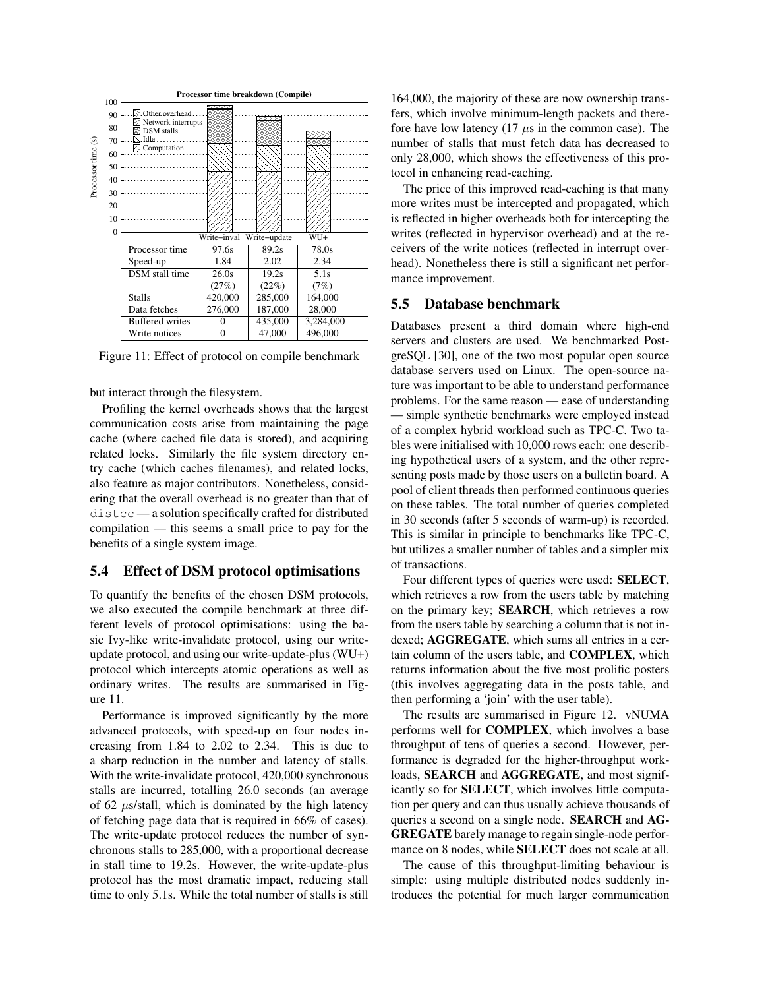

Figure 11: Effect of protocol on compile benchmark

but interact through the filesystem.

Profiling the kernel overheads shows that the largest communication costs arise from maintaining the page cache (where cached file data is stored), and acquiring related locks. Similarly the file system directory entry cache (which caches filenames), and related locks, also feature as major contributors. Nonetheless, considering that the overall overhead is no greater than that of distcc — a solution specifically crafted for distributed compilation — this seems a small price to pay for the benefits of a single system image.

#### 5.4 Effect of DSM protocol optimisations

To quantify the benefits of the chosen DSM protocols, we also executed the compile benchmark at three different levels of protocol optimisations: using the basic Ivy-like write-invalidate protocol, using our writeupdate protocol, and using our write-update-plus (WU+) protocol which intercepts atomic operations as well as ordinary writes. The results are summarised in Figure 11.

Performance is improved significantly by the more advanced protocols, with speed-up on four nodes increasing from 1.84 to 2.02 to 2.34. This is due to a sharp reduction in the number and latency of stalls. With the write-invalidate protocol, 420,000 synchronous stalls are incurred, totalling 26.0 seconds (an average of 62  $\mu$ s/stall, which is dominated by the high latency of fetching page data that is required in 66% of cases). The write-update protocol reduces the number of synchronous stalls to 285,000, with a proportional decrease in stall time to 19.2s. However, the write-update-plus protocol has the most dramatic impact, reducing stall time to only 5.1s. While the total number of stalls is still

164,000, the majority of these are now ownership transfers, which involve minimum-length packets and therefore have low latency  $(17 \mu s)$  in the common case). The number of stalls that must fetch data has decreased to only 28,000, which shows the effectiveness of this protocol in enhancing read-caching.

The price of this improved read-caching is that many more writes must be intercepted and propagated, which is reflected in higher overheads both for intercepting the writes (reflected in hypervisor overhead) and at the receivers of the write notices (reflected in interrupt overhead). Nonetheless there is still a significant net performance improvement.

#### 5.5 Database benchmark

Databases present a third domain where high-end servers and clusters are used. We benchmarked PostgreSQL [30], one of the two most popular open source database servers used on Linux. The open-source nature was important to be able to understand performance problems. For the same reason — ease of understanding — simple synthetic benchmarks were employed instead of a complex hybrid workload such as TPC-C. Two tables were initialised with 10,000 rows each: one describing hypothetical users of a system, and the other representing posts made by those users on a bulletin board. A pool of client threads then performed continuous queries on these tables. The total number of queries completed in 30 seconds (after 5 seconds of warm-up) is recorded. This is similar in principle to benchmarks like TPC-C, but utilizes a smaller number of tables and a simpler mix of transactions.

Four different types of queries were used: SELECT, which retrieves a row from the users table by matching on the primary key; SEARCH, which retrieves a row from the users table by searching a column that is not indexed; AGGREGATE, which sums all entries in a certain column of the users table, and COMPLEX, which returns information about the five most prolific posters (this involves aggregating data in the posts table, and then performing a 'join' with the user table).

The results are summarised in Figure 12. vNUMA performs well for COMPLEX, which involves a base throughput of tens of queries a second. However, performance is degraded for the higher-throughput workloads, SEARCH and AGGREGATE, and most significantly so for SELECT, which involves little computation per query and can thus usually achieve thousands of queries a second on a single node. SEARCH and AG-GREGATE barely manage to regain single-node performance on 8 nodes, while SELECT does not scale at all.

The cause of this throughput-limiting behaviour is simple: using multiple distributed nodes suddenly introduces the potential for much larger communication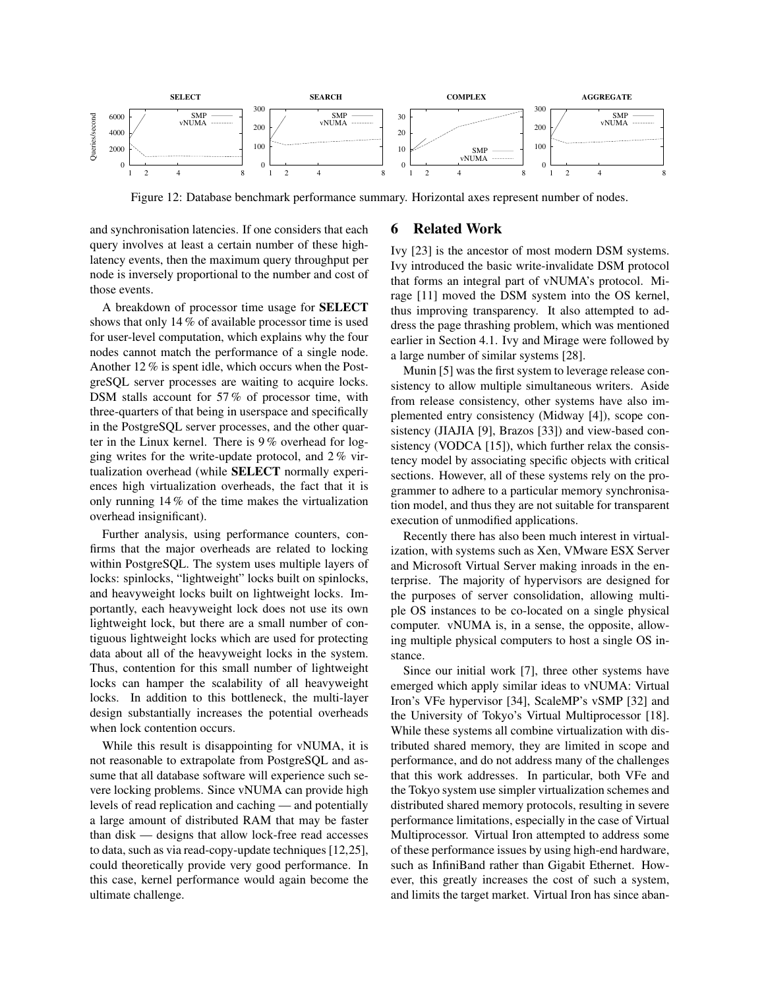

Figure 12: Database benchmark performance summary. Horizontal axes represent number of nodes.

and synchronisation latencies. If one considers that each query involves at least a certain number of these highlatency events, then the maximum query throughput per node is inversely proportional to the number and cost of those events.

A breakdown of processor time usage for SELECT shows that only 14 % of available processor time is used for user-level computation, which explains why the four nodes cannot match the performance of a single node. Another 12 % is spent idle, which occurs when the PostgreSQL server processes are waiting to acquire locks. DSM stalls account for 57% of processor time, with three-quarters of that being in userspace and specifically in the PostgreSQL server processes, and the other quarter in the Linux kernel. There is 9 % overhead for logging writes for the write-update protocol, and 2 % virtualization overhead (while SELECT normally experiences high virtualization overheads, the fact that it is only running 14 % of the time makes the virtualization overhead insignificant).

Further analysis, using performance counters, confirms that the major overheads are related to locking within PostgreSQL. The system uses multiple layers of locks: spinlocks, "lightweight" locks built on spinlocks, and heavyweight locks built on lightweight locks. Importantly, each heavyweight lock does not use its own lightweight lock, but there are a small number of contiguous lightweight locks which are used for protecting data about all of the heavyweight locks in the system. Thus, contention for this small number of lightweight locks can hamper the scalability of all heavyweight locks. In addition to this bottleneck, the multi-layer design substantially increases the potential overheads when lock contention occurs.

While this result is disappointing for vNUMA, it is not reasonable to extrapolate from PostgreSQL and assume that all database software will experience such severe locking problems. Since vNUMA can provide high levels of read replication and caching — and potentially a large amount of distributed RAM that may be faster than disk — designs that allow lock-free read accesses to data, such as via read-copy-update techniques[12,25], could theoretically provide very good performance. In this case, kernel performance would again become the ultimate challenge.

### 6 Related Work

Ivy [23] is the ancestor of most modern DSM systems. Ivy introduced the basic write-invalidate DSM protocol that forms an integral part of vNUMA's protocol. Mirage [11] moved the DSM system into the OS kernel, thus improving transparency. It also attempted to address the page thrashing problem, which was mentioned earlier in Section 4.1. Ivy and Mirage were followed by a large number of similar systems [28].

Munin [5] was the first system to leverage release consistency to allow multiple simultaneous writers. Aside from release consistency, other systems have also implemented entry consistency (Midway [4]), scope consistency (JIAJIA [9], Brazos [33]) and view-based consistency (VODCA [15]), which further relax the consistency model by associating specific objects with critical sections. However, all of these systems rely on the programmer to adhere to a particular memory synchronisation model, and thus they are not suitable for transparent execution of unmodified applications.

Recently there has also been much interest in virtualization, with systems such as Xen, VMware ESX Server and Microsoft Virtual Server making inroads in the enterprise. The majority of hypervisors are designed for the purposes of server consolidation, allowing multiple OS instances to be co-located on a single physical computer. vNUMA is, in a sense, the opposite, allowing multiple physical computers to host a single OS instance.

Since our initial work [7], three other systems have emerged which apply similar ideas to vNUMA: Virtual Iron's VFe hypervisor [34], ScaleMP's vSMP [32] and the University of Tokyo's Virtual Multiprocessor [18]. While these systems all combine virtualization with distributed shared memory, they are limited in scope and performance, and do not address many of the challenges that this work addresses. In particular, both VFe and the Tokyo system use simpler virtualization schemes and distributed shared memory protocols, resulting in severe performance limitations, especially in the case of Virtual Multiprocessor. Virtual Iron attempted to address some of these performance issues by using high-end hardware, such as InfiniBand rather than Gigabit Ethernet. However, this greatly increases the cost of such a system, and limits the target market. Virtual Iron has since aban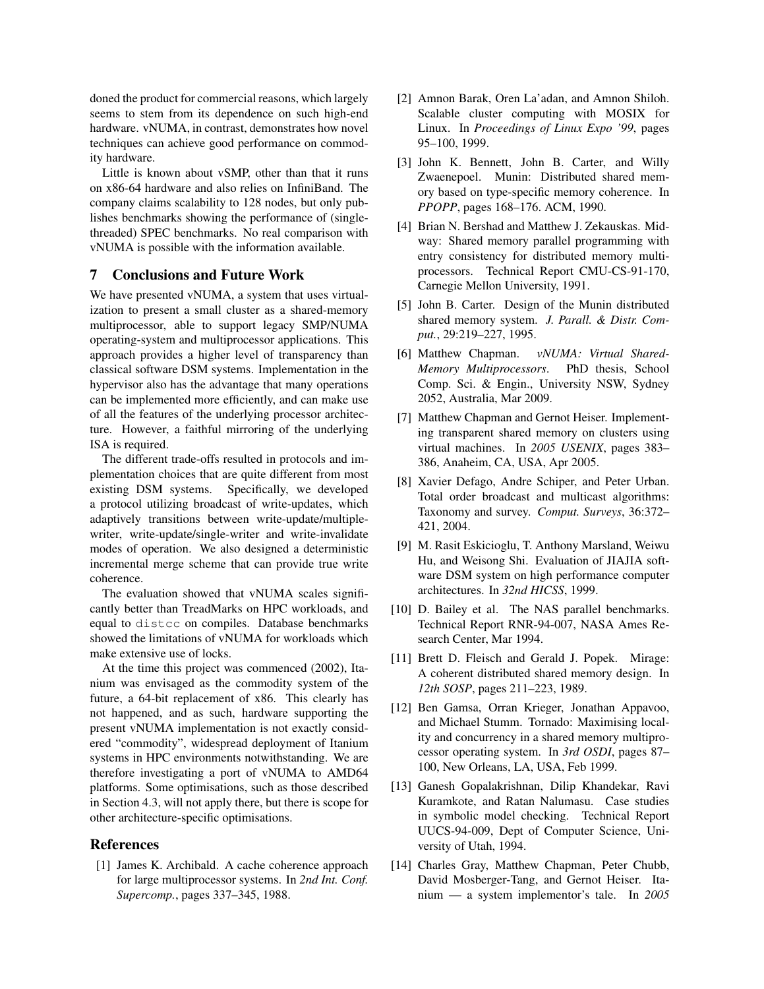doned the product for commercial reasons, which largely seems to stem from its dependence on such high-end hardware. vNUMA, in contrast, demonstrates how novel techniques can achieve good performance on commodity hardware.

Little is known about vSMP, other than that it runs on x86-64 hardware and also relies on InfiniBand. The company claims scalability to 128 nodes, but only publishes benchmarks showing the performance of (singlethreaded) SPEC benchmarks. No real comparison with vNUMA is possible with the information available.

#### 7 Conclusions and Future Work

We have presented vNUMA, a system that uses virtualization to present a small cluster as a shared-memory multiprocessor, able to support legacy SMP/NUMA operating-system and multiprocessor applications. This approach provides a higher level of transparency than classical software DSM systems. Implementation in the hypervisor also has the advantage that many operations can be implemented more efficiently, and can make use of all the features of the underlying processor architecture. However, a faithful mirroring of the underlying ISA is required.

The different trade-offs resulted in protocols and implementation choices that are quite different from most existing DSM systems. Specifically, we developed a protocol utilizing broadcast of write-updates, which adaptively transitions between write-update/multiplewriter, write-update/single-writer and write-invalidate modes of operation. We also designed a deterministic incremental merge scheme that can provide true write coherence.

The evaluation showed that vNUMA scales significantly better than TreadMarks on HPC workloads, and equal to distcc on compiles. Database benchmarks showed the limitations of vNUMA for workloads which make extensive use of locks.

At the time this project was commenced (2002), Itanium was envisaged as the commodity system of the future, a 64-bit replacement of x86. This clearly has not happened, and as such, hardware supporting the present vNUMA implementation is not exactly considered "commodity", widespread deployment of Itanium systems in HPC environments notwithstanding. We are therefore investigating a port of vNUMA to AMD64 platforms. Some optimisations, such as those described in Section 4.3, will not apply there, but there is scope for other architecture-specific optimisations.

#### References

[1] James K. Archibald. A cache coherence approach for large multiprocessor systems. In *2nd Int. Conf. Supercomp.*, pages 337–345, 1988.

- [2] Amnon Barak, Oren La'adan, and Amnon Shiloh. Scalable cluster computing with MOSIX for Linux. In *Proceedings of Linux Expo '99*, pages 95–100, 1999.
- [3] John K. Bennett, John B. Carter, and Willy Zwaenepoel. Munin: Distributed shared memory based on type-specific memory coherence. In *PPOPP*, pages 168–176. ACM, 1990.
- [4] Brian N. Bershad and Matthew J. Zekauskas. Midway: Shared memory parallel programming with entry consistency for distributed memory multiprocessors. Technical Report CMU-CS-91-170, Carnegie Mellon University, 1991.
- [5] John B. Carter. Design of the Munin distributed shared memory system. *J. Parall. & Distr. Comput.*, 29:219–227, 1995.
- [6] Matthew Chapman. *vNUMA: Virtual Shared-Memory Multiprocessors*. PhD thesis, School Comp. Sci. & Engin., University NSW, Sydney 2052, Australia, Mar 2009.
- [7] Matthew Chapman and Gernot Heiser. Implementing transparent shared memory on clusters using virtual machines. In *2005 USENIX*, pages 383– 386, Anaheim, CA, USA, Apr 2005.
- [8] Xavier Defago, Andre Schiper, and Peter Urban. Total order broadcast and multicast algorithms: Taxonomy and survey. *Comput. Surveys*, 36:372– 421, 2004.
- [9] M. Rasit Eskicioglu, T. Anthony Marsland, Weiwu Hu, and Weisong Shi. Evaluation of JIAJIA software DSM system on high performance computer architectures. In *32nd HICSS*, 1999.
- [10] D. Bailey et al. The NAS parallel benchmarks. Technical Report RNR-94-007, NASA Ames Research Center, Mar 1994.
- [11] Brett D. Fleisch and Gerald J. Popek. Mirage: A coherent distributed shared memory design. In *12th SOSP*, pages 211–223, 1989.
- [12] Ben Gamsa, Orran Krieger, Jonathan Appavoo, and Michael Stumm. Tornado: Maximising locality and concurrency in a shared memory multiprocessor operating system. In *3rd OSDI*, pages 87– 100, New Orleans, LA, USA, Feb 1999.
- [13] Ganesh Gopalakrishnan, Dilip Khandekar, Ravi Kuramkote, and Ratan Nalumasu. Case studies in symbolic model checking. Technical Report UUCS-94-009, Dept of Computer Science, University of Utah, 1994.
- [14] Charles Gray, Matthew Chapman, Peter Chubb, David Mosberger-Tang, and Gernot Heiser. Itanium — a system implementor's tale. In *2005*